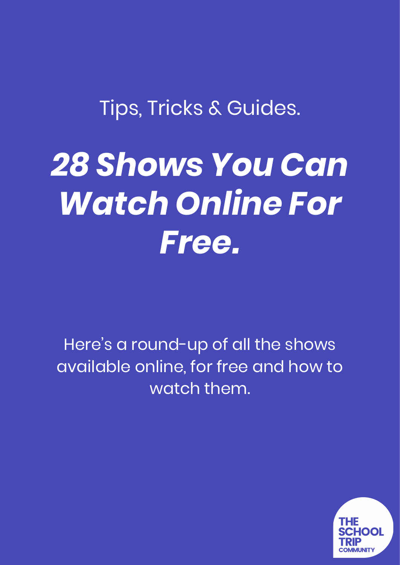# Tips, Tricks & Guides.

# *28 Shows You Can Watch Online For Free.*

Here's a round-up of all the shows available online, for free and how to watch them.

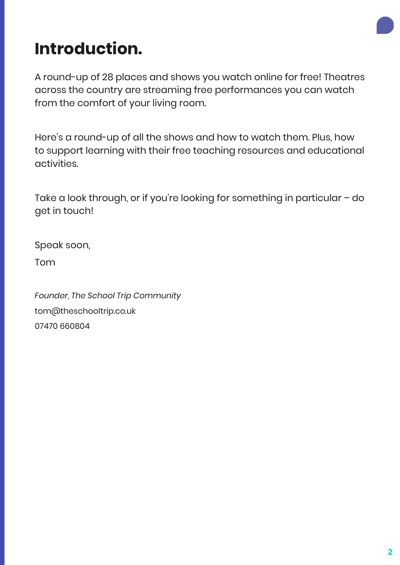

# **Introduction.**

A round-up of 28 places and shows you watch online for free! Theatres across the country are streaming free performances you can watch from the comfort of your living room.

Here's a round-up of all the shows and how to watch them. Plus, how to support learning with their free teaching resources and educational activities.

Take a look through, or if you're looking for something in particular – do get in touch!

Speak soon,

Tom

*Founder, The School Trip Community* tom@theschooltrip.co.uk 07470 660804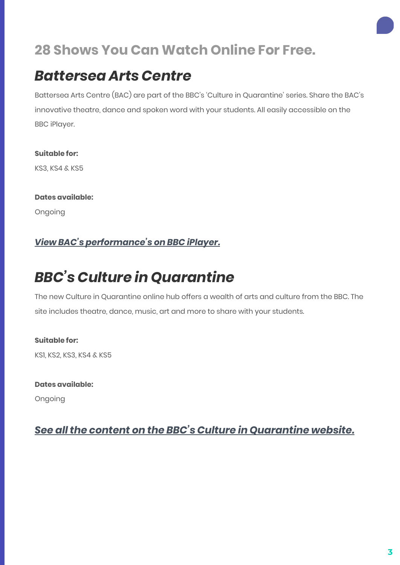#### *Battersea Arts Centre*

Battersea Arts Centre (BAC) are part of the BBC's 'Culture in Quarantine' series. Share the BAC's innovative theatre, dance and spoken word with your students. All easily accessible on the BBC iPlayer.

**Suitable for:** KS3, KS4 & KS5

**Dates available:** Ongoing

#### *[View BAC's performance's on BBC iPlayer.](https://www.bbc.co.uk/iplayer/episodes/b094rfj6/performance-live)*

### *BBC's Culture in Quarantine*

The new Culture in Quarantine online hub offers a wealth of arts and culture from the BBC. The site includes theatre, dance, music, art and more to share with your students.

**Suitable for:** KS1, KS2, KS3, KS4 & KS5

**Dates available:**

Ongoing

#### *[See all the content on the BBC's Culture in Quarantine website.](https://www.bbc.co.uk/arts)*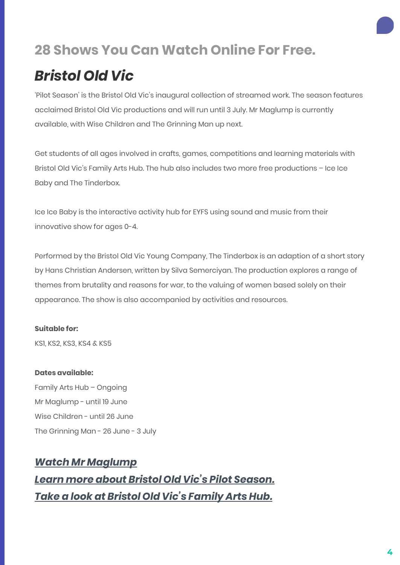## *Bristol Old Vic*

'Pilot Season' is the Bristol Old Vic's inaugural collection of streamed work. The season features acclaimed Bristol Old Vic productions and will run until 3 July. Mr Maglump is currently available, with Wise Children and The Grinning Man up next.

Get students of all ages involved in crafts, games, competitions and learning materials with Bristol Old Vic's Family Arts Hub. The hub also includes two more free productions – Ice Ice Baby and The Tinderbox.

Ice Ice Baby is the interactive activity hub for EYFS using sound and music from their innovative show for ages 0-4.

Performed by the Bristol Old Vic Young Company, The Tinderbox is an adaption of a short story by Hans Christian Andersen, written by Silva Semerciyan. The production explores a range of themes from brutality and reasons for war, to the valuing of women based solely on their appearance. The show is also accompanied by activities and resources.

#### **Suitable for:**

KS1, KS2, KS3, KS4 & KS5

#### **Dates available:**

Family Arts Hub – Ongoing Mr Maglump - until 19 June Wise Children - until 26 June The Grinning Man - 26 June - 3 July

#### *[Watch Mr Maglump](https://bristololdvic.org.uk/whats-on/mr-maglump) [Learn more about Bristol Old Vic's Pilot Season.](https://bristololdvic.org.uk/at-home/bristol-arts-channel) [Take a look at Bristol Old Vic's Family Arts Hub.](https://bristololdvic.org.uk/at-home/family-arts-hub)*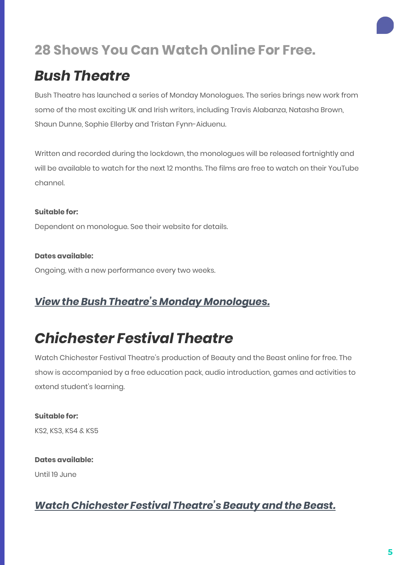### *Bush Theatre*

Bush Theatre has launched a series of Monday Monologues. The series brings new work from some of the most exciting UK and Irish writers, including Travis Alabanza, Natasha Brown, Shaun Dunne, Sophie Ellerby and Tristan Fynn-Aiduenu.

Written and recorded during the lockdown, the monologues will be released fortnightly and will be available to watch for the next 12 months. The films are free to watch on their YouTube channel.

#### **Suitable for:**

Dependent on monologue. See their website for details.

#### **Dates available:**

Ongoing, with a new performance every two weeks.

#### *[View the Bush Theatre's Monday Monologues.](https://www.bushtheatre.co.uk/event/monday-monologues/)*

### *Chichester Festival Theatre*

Watch Chichester Festival Theatre's production of Beauty and the Beast online for free. The show is accompanied by a free education pack, audio introduction, games and activities to extend student's learning.

#### **Suitable for:**

KS2, KS3, KS4 & KS5

#### **Dates available:** Until 19 June

#### *[Watch Chichester Festival Theatre's Beauty and the Beast.](https://www.cft.org.uk/beauty-and-the-beast-broadcast)*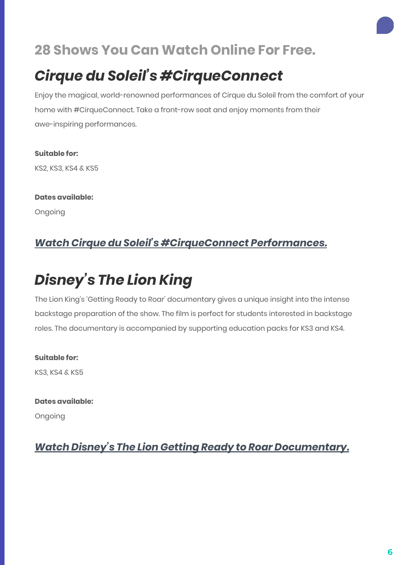## *Cirque du Soleil's #CirqueConnect*

Enjoy the magical, world-renowned performances of Cirque du Soleil from the comfort of your home with #CirqueConnect. Take a front-row seat and enjoy moments from their awe-inspiring performances.

**Suitable for:** KS2, KS3, KS4 & KS5

**Dates available:** Ongoing

#### *[Watch Cirque du Soleil's #CirqueConnect Performances.](https://www.cirquedusoleil.com/cirqueconnect)*

# *Disney's The Lion King*

The Lion King's 'Getting Ready to Roar' documentary gives a unique insight into the intense backstage preparation of the show. The film is perfect for students interested in backstage roles. The documentary is accompanied by supporting education packs for KS3 and KS4.

**Suitable for:** KS3, KS4 & KS5

**Dates available:**

Ongoing

*[Watch Disney's The Lion Getting Ready to Roar Documentary.](https://www.lionkingeducation.co.uk/video-hub/)*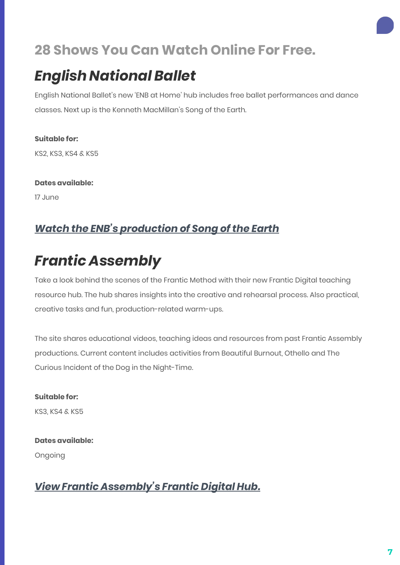### *English National Ballet*

English National Ballet's new 'ENB at Home' hub includes free ballet performances and dance classes. Next up is the Kenneth MacMillan's Song of the Earth.

**Suitable for:** KS2, KS3, KS4 & KS5

**Dates available:**

17 June

# *[Watch the ENB's production of Song of the Earth](https://www.ballet.org.uk/enb-at-home/)*

# *Frantic Assembly*

Take a look behind the scenes of the Frantic Method with their new Frantic Digital teaching resource hub. The hub shares insights into the creative and rehearsal process. Also practical, creative tasks and fun, production-related warm-ups.

The site shares educational videos, teaching ideas and resources from past Frantic Assembly productions. Current content includes activities from Beautiful Burnout, Othello and The Curious Incident of the Dog in the Night-Time.

**Suitable for:** KS3, KS4 & KS5

**Dates available:** Ongoing

#### *[View Frantic Assembly's Frantic Digital Hub.](https://www.franticassembly.co.uk/frantic-digital)*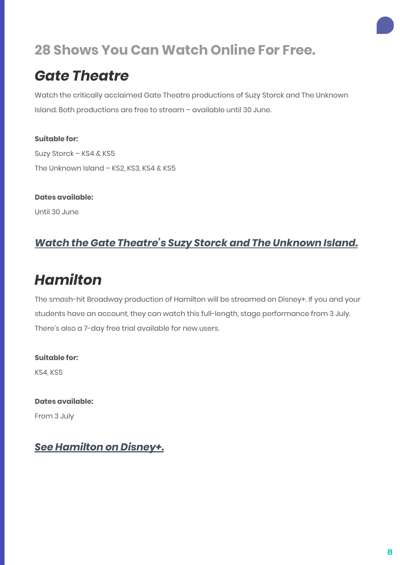#### *Gate Theatre*

Watch the critically acclaimed Gate Theatre productions of Suzy Storck and The Unknown Island. Both productions are free to stream – available until 30 June.

**Suitable for:** Suzy Storck – KS4 & KS5 The Unknown Island - KS2, KS3, KS4 & KS5

**Dates available:** Until 30 June

#### *[Watch the Gate Theatre's Suzy Storck and The Unknown Island.](https://www.gatetheatre.co.uk/from-our-archive/)*

### *Hamilton*

The smash-hit Broadway production of Hamilton will be streamed on Disney+. If you and your students have an account, they can watch this full-length, stage performance from 3 July. There's also a 7-day free trial available for new users.

**Suitable for:** KS4, KS5

**Dates available:** From 3 July

#### *[See Hamilton on Disney+.](https://www.disneyplus.com/)*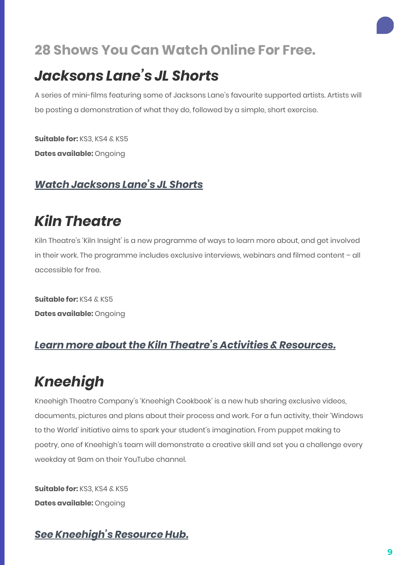#### *Jacksons Lane's JL Shorts*

A series of mini-films featuring some of Jacksons Lane's favourite supported artists. Artists will be posting a demonstration of what they do, followed by a simple, short exercise.

**Suitable for:** KS3, KS4 & KS5 **Dates available:** Ongoing

#### *[Watch Jacksons Lane's JL Shorts](https://www.youtube.com/channel/UCMaWRSw9DRoPexT2NeJ4GWw)*

### *Kiln Theatre*

Kiln Theatre's 'Kiln Insight' is a new programme of ways to learn more about, and get involved in their work. The programme includes exclusive interviews, webinars and filmed content – all accessible for free.

**Suitable for:** KS4 & KS5 **Dates available:** Ongoing

#### *[Learn more about the Kiln Theatre's Activities & Resources.](https://kilntheatre.com/kiln-insight/)*

## *Kneehigh*

Kneehigh Theatre Company's 'Kneehigh Cookbook' is a new hub sharing exclusive videos, documents, pictures and plans about their process and work. For a fun activity, their 'Windows to the World' initiative aims to spark your student's imagination. From puppet making to poetry, one of Kneehigh's team will demonstrate a creative skill and set you a challenge every weekday at 9am on their YouTube channel.

**Suitable for:** KS3, KS4 & KS5 **Dates available:** Ongoing

#### *[See Kneehigh's Resource Hub.](https://kneehighcookbook.co.uk/)*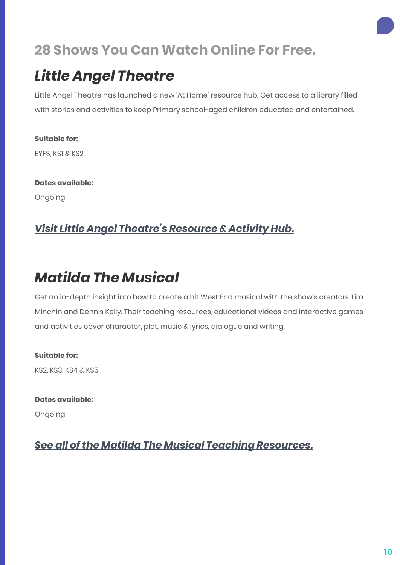## *Little Angel Theatre*

Little Angel Theatre has launched a new 'At Home' resource hub. Get access to a library filled with stories and activities to keep Primary school-aged children educated and entertained.

**Suitable for:** EYFS, KS1 & KS2

**Dates available:** Ongoing

#### *[Visit Little Angel Theatre's Resource & Activity Hub.](https://littleangeltheatre.com/schools-and-community/at-home-resources/)*

## *Matilda The Musical*

Get an in-depth insight into how to create a hit West End musical with the show's creators Tim Minchin and Dennis Kelly. Their teaching resources, educational videos and interactive games and activities cover character, plot, music & lyrics, dialogue and writing.

**Suitable for:** KS2, KS3, KS4 & KS5

**Dates available:** Ongoing

*[See all of the Matilda The Musical Teaching Resources.](https://theschooltrip.co.uk/resources/matilda-the-musical/)*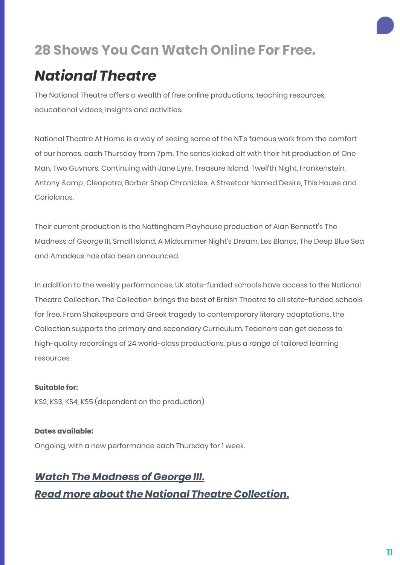### *National Theatre*

The National Theatre offers a wealth of free online productions, teaching resources, educational videos, insights and activities.

National Theatre At Home is a way of seeing some of the NT's famous work from the comfort of our homes, each Thursday from 7pm. The series kicked off with their hit production of One Man, Two Guvnors. Continuing with Jane Eyre, Treasure Island, Twelfth Night, Frankenstein, Antony & Cleopatra, Barber Shop Chronicles, A Streetcar Named Desire, This House and Coriolanus.

Their current production is the Nottingham Playhouse production of Alan Bennett's The Madness of George III. Small Island, A Midsummer Night's Dream, Les Blancs, The Deep Blue Sea and Amadeus has also been announced.

In addition to the weekly performances, UK state-funded schools have access to the National Theatre Collection. The Collection brings the best of British Theatre to all state-funded schools for free. From Shakespeare and Greek tragedy to contemporary literary adaptations, the Collection supports the primary and secondary Curriculum. Teachers can get access to high-quality recordings of 24 world-class productions, plus a range of tailored learning resources.

#### **Suitable for:**

KS2, KS3, KS4, KS5 (dependent on the production)

#### **Dates available:**

Ongoing, with a new performance each Thursday for 1 week.

#### *[Watch The Madness of George III.](https://www.nationaltheatre.org.uk/shows/nt-at-home-the-madness-of-george-iii) [Read more about the National Theatre Collection.](https://www.nationaltheatre.org.uk/learning/national-theatre-collection)*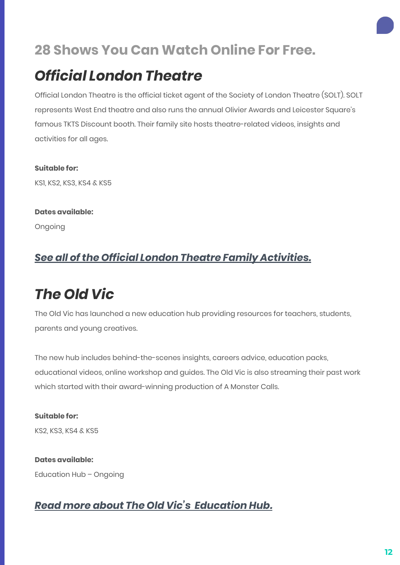### *Official London Theatre*

Official London Theatre is the official ticket agent of the Society of London Theatre (SOLT). SOLT represents West End theatre and also runs the annual Olivier Awards and Leicester Square's famous TKTS Discount booth. Their family site hosts theatre-related videos, insights and activities for all ages.

**Suitable for:** KS1, KS2, KS3, KS4 & KS5

**Dates available:** Ongoing

#### *[See all of the Official London Theatre Family Activities.](https://officiallondontheatre.com/family-theatre/)*

## *The Old Vic*

The Old Vic has launched a new education hub providing resources for teachers, students, parents and young creatives.

The new hub includes behind-the-scenes insights, careers advice, education packs, educational videos, online workshop and guides. The Old Vic is also streaming their past work which started with their award-winning production of A Monster Calls.

**Suitable for:** KS2, KS3, KS4 & KS5

**Dates available:** Education Hub – Ongoing

#### *[Read more about The Old Vic's Education Hub.](https://theschooltrip.co.uk/teaching-resources-the-old-vic-education-hub/)*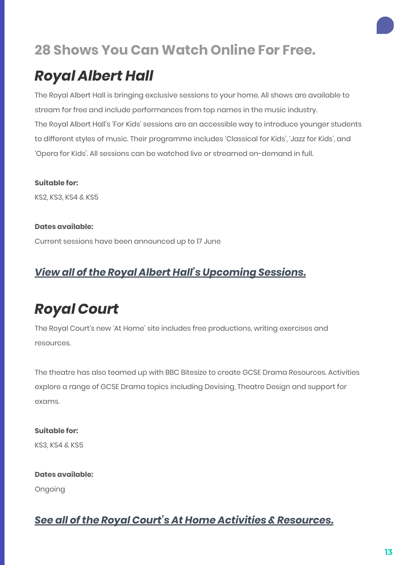# *Royal Albert Hall*

The Royal Albert Hall is bringing exclusive sessions to your home. All shows are available to stream for free and include performances from top names in the music industry. The Royal Albert Hall's 'For Kids' sessions are an accessible way to introduce younger students to different styles of music. Their programme includes 'Classical for Kids', 'Jazz for Kids', and 'Opera for Kids'. All sessions can be watched live or streamed on-demand in full.

**Suitable for:**

KS2, KS3, KS4 & KS5

**Dates available:** Current sessions have been announced up to 17 June

#### *[View all of the Royal Albert Hall's Upcoming Sessions.](https://www.royalalberthall.com/tickets/series/royal-albert-home/)*

# *Royal Court*

The Royal Court's new 'At Home' site includes free productions, writing exercises and resources.

The theatre has also teamed up with BBC Bitesize to create GCSE Drama Resources. Activities explore a range of GCSE Drama topics including Devising, Theatre Design and support for exams.

**Suitable for:** KS3, KS4 & KS5

**Dates available:**

Ongoing

#### *[See all of the Royal Court's At Home Activities & Resources.](https://royalcourttheatre.com/royal-court-at-home/)*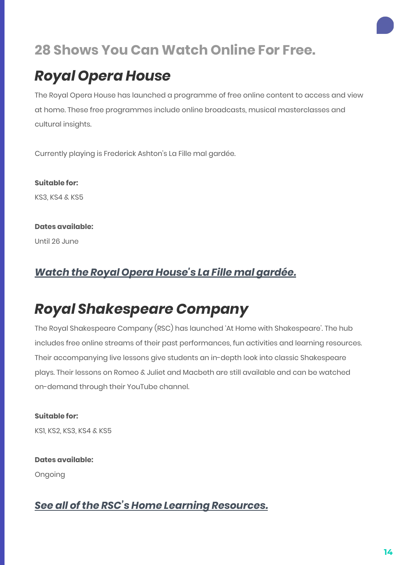## *Royal Opera House*

The Royal Opera House has launched a programme of free online content to access and view at home. These free programmes include online broadcasts, musical masterclasses and cultural insights.

Currently playing is Frederick Ashton's La Fille mal gardée.

**Suitable for:** KS3, KS4 & KS5

**Dates available:**

Until 26 June

#### *[Watch the Royal Opera House's La Fille mal gardée.](https://www.roh.org.uk/)*

## *Royal Shakespeare Company*

The Royal Shakespeare Company (RSC) has launched 'At Home with Shakespeare'. The hub includes free online streams of their past performances, fun activities and learning resources. Their accompanying live lessons give students an in-depth look into classic Shakespeare plays. Their lessons on Romeo & Juliet and Macbeth are still available and can be watched on-demand through their YouTube channel.

**Suitable for:** KS1, KS2, KS3, KS4 & KS5

**Dates available:** Ongoing

#### *[See all of the RSC's Home Learning Resources.](https://www.rsc.org.uk/education/about-rsc-education/home-learning-with-the-rsc)*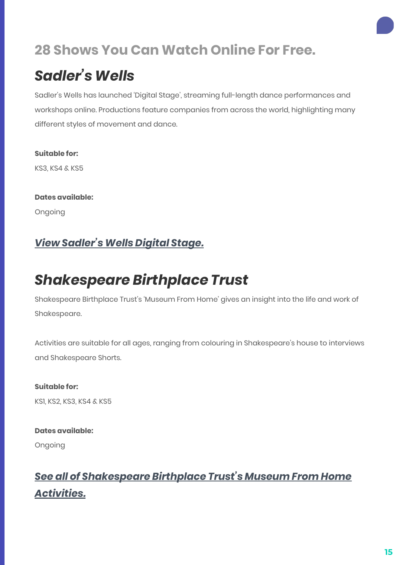### *Sadler's Wells*

Sadler's Wells has launched 'Digital Stage', streaming full-length dance performances and workshops online. Productions feature companies from across the world, highlighting many different styles of movement and dance.

**Suitable for:** KS3, KS4 & KS5

**Dates available:** Ongoing

#### *[View Sadler's Wells Digital Stage.](https://www.sadlerswells.com/whats-on/2020/sadlers-wells-digital-stage/)*

## *Shakespeare Birthplace Trust*

Shakespeare Birthplace Trust's 'Museum From Home' gives an insight into the life and work of Shakespeare.

Activities are suitable for all ages, ranging from colouring in Shakespeare's house to interviews and Shakespeare Shorts.

**Suitable for:** KS1, KS2, KS3, KS4 & KS5

**Dates available:** Ongoing

#### *[See all of Shakespeare Birthplace Trust's Museum From Home](https://www.shakespeare.org.uk/museum-home/) [Activities.](https://www.shakespeare.org.uk/museum-home/)*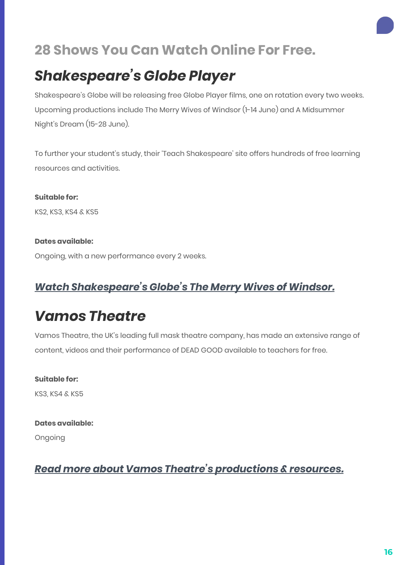## *Shakespeare's Globe Player*

Shakespeare's Globe will be releasing free Globe Player films, one on rotation every two weeks. Upcoming productions include The Merry Wives of Windsor (1-14 June) and A Midsummer Night's Dream (15-28 June).

To further your student's study, their 'Teach Shakespeare' site offers hundreds of free learning resources and activities.

**Suitable for:** KS2, KS3, KS4 & KS5

#### **Dates available:**

Ongoing, with a new performance every 2 weeks.

#### *[Watch Shakespeare's Globe's The Merry Wives of Windsor.](https://www.youtube.com/watch?v=nBlQ3z3GRjs)*

### *Vamos Theatre*

Vamos Theatre, the UK's leading full mask theatre company, has made an extensive range of content, videos and their performance of DEAD GOOD available to teachers for free.

**Suitable for:** KS3, KS4 & KS5

#### **Dates available:**

Ongoing

#### *[Read more about Vamos Theatre's productions & resources.](https://theschooltrip.co.uk/free-access-to-vamos-theatres-production-of-dead-good/)*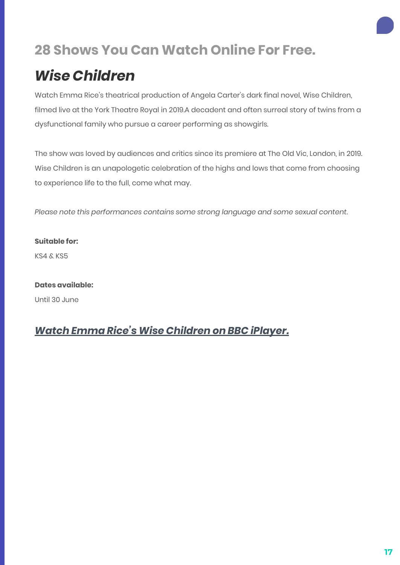# *Wise Children*

Watch Emma Rice's theatrical production of Angela Carter's dark final novel, Wise Children, filmed live at the York Theatre Royal in 2019.A decadent and often surreal story of twins from a dysfunctional family who pursue a career performing as showgirls.

The show was loved by audiences and critics since its premiere at The Old Vic, London, in 2019. Wise Children is an unapologetic celebration of the highs and lows that come from choosing to experience life to the full, come what may.

*Please note this performances contains some strong language and some sexual content.*

**Suitable for:** KS4 & KS5

**Dates available:** Until 30 June

#### *[Watch Emma Rice's Wise Children on BBC iPlayer.](https://www.bbc.co.uk/programmes/p0892kf6)*